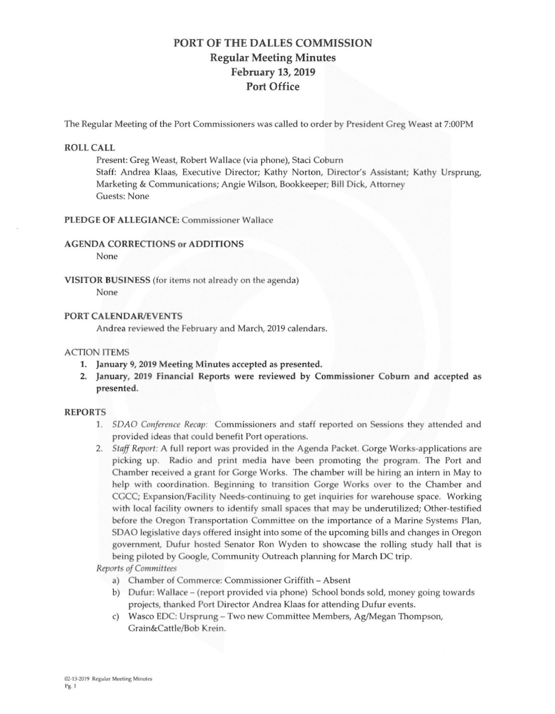# PORT OF THE DALLES COMMISSION Regular Meeting Minutes February 13, 2019 Port Office

The Regular Meeting of the Port Commissioners was called to order by President Greg Weast at 7:00PM

### ROLL CALL

Present: Greg Weast, Robert Wallace (via phone), Staci Coburn Staff: Andrea Klaas, Executive Director; Kathy Norton, Director's Assistant; Kathy Ursprung, Marketing & Communications; Angie Wilson, Bookkeeper; Bill Dick, Attorney Guests: None

### **PLEDGE OF ALLEGIANCE: Commissioner Wallace**

#### **AGENDA CORRECTIONS or ADDITIONS**

None

**VISITOR BUSINESS** (for items not already on the agenda) None

## **PORT CALENDAR/EVENTS**

Andrea reviewed the February and March, 2019 calendars.

#### ACTION ITEMS

- 1. January 9, 2019 Meeting Minutes accepted as presented .
- 2. January, 2019 Financial Reports were reviewed by Commissioner Coburn and accepted as presented.

#### REPORTS

- 1. *SDAO Conference Recap*: Commissioners and staff reported on Sessions they attended and provided ideas that could benefit Port operations.
- 2. *Staff Report:* A full report was provided in the Agenda Packet. Gorge Works-applications are picking up. Radio and print media have been promoting the program. The Port and Chamber received a grant for Gorge Works. The chamber will be hiring an intern in May to help with coordination. Beginning to transition Gorge Works over to the Chamber and CGCC; Expansion/Facility Needs-continuing to get inquiries for warehouse space. Working with local facility owners to identify small spaces that may be underutilized; Other-testified before the Oregon Transportation Committee on the importance of a Marine Systems Plan, SDAO legislative days offered insight into some of the upcoming bills and changes in Oregon government, Dufur hosted Senator Ron Wyden to showcase the rolling study hall that is being piloted by Google, Community Outreach planning for March DC trip.

*Reports of Committee* 

- a) Chamber of Commerce: Commissioner Griffith Absent
- b) Dufur: Wallace (report provided via phone) School bonds sold, money going towards projects, thanked Port Director Andrea Klaas for attending Dufur events.
- c) Wasco EDC: Ursprung Two new Committee Members, Ag/Megan Thompson, Grain&Cattle/Bob Krein.